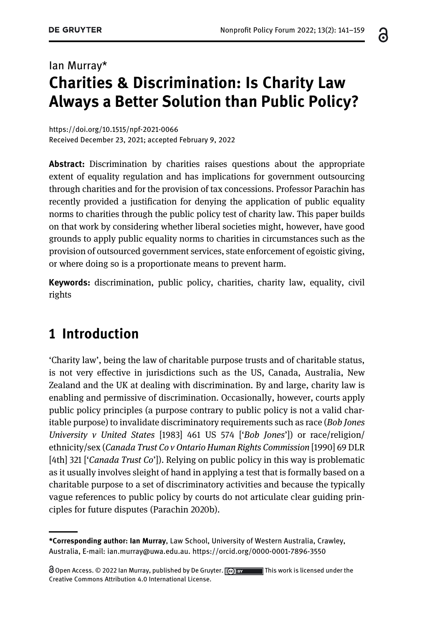# Ian Murray\* Charities & Discrimination: Is Charity Law Always a Better Solution than Public Policy?

<https://doi.org/10.1515/npf-2021-0066> Received December 23, 2021; accepted February 9, 2022

Abstract: Discrimination by charities raises questions about the appropriate extent of equality regulation and has implications for government outsourcing through charities and for the provision of tax concessions. Professor Parachin has recently provided a justification for denying the application of public equality norms to charities through the public policy test of charity law. This paper builds on that work by considering whether liberal societies might, however, have good grounds to apply public equality norms to charities in circumstances such as the provision of outsourced government services, state enforcement of egoistic giving, or where doing so is a proportionate means to prevent harm.

Keywords: discrimination, public policy, charities, charity law, equality, civil rights

## 1 Introduction

'Charity law', being the law of charitable purpose trusts and of charitable status, is not very effective in jurisdictions such as the US, Canada, Australia, New Zealand and the UK at dealing with discrimination. By and large, charity law is enabling and permissive of discrimination. Occasionally, however, courts apply public policy principles (a purpose contrary to public policy is not a valid charitable purpose) to invalidate discriminatory requirements such as race (Bob Jones University v United States [1983] 461 US 574 ['Bob Jones']) or race/religion/ ethnicity/sex (Canada Trust Co v Ontario Human Rights Commission [1990] 69 DLR [4th] 321 ['Canada Trust Co']). Relying on public policy in this way is problematic as it usually involves sleight of hand in applying a test that is formally based on a charitable purpose to a set of discriminatory activities and because the typically vague references to public policy by courts do not articulate clear guiding principles for future disputes [\(Parachin 2020b](#page-17-0)).

႕

<sup>\*</sup>Corresponding author: Ian Murray, Law School, University of Western Australia, Crawley, Australia, E-mail: [ian.murray@uwa.edu.au](mailto:ian.murray@uwa.edu.au).<https://orcid.org/0000-0001-7896-3550>

 $\odot$  Open Access.  $\odot$  2022 Ian Murray, published by De Gruyter.  $\odot$  by This work is licensed under the Creative Commons Attribution 4.0 International License.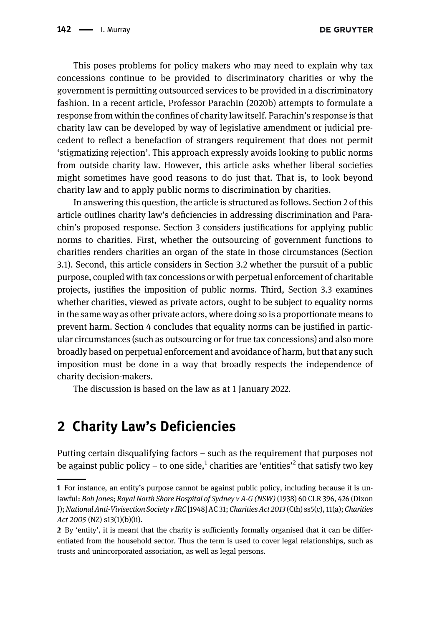This poses problems for policy makers who may need to explain why tax concessions continue to be provided to discriminatory charities or why the government is permitting outsourced services to be provided in a discriminatory fashion. In a recent article, Professor [Parachin \(2020b](#page-17-0)) attempts to formulate a response from within the confines of charity law itself. Parachin's response is that charity law can be developed by way of legislative amendment or judicial precedent to reflect a benefaction of strangers requirement that does not permit 'stigmatizing rejection'. This approach expressly avoids looking to public norms from outside charity law. However, this article asks whether liberal societies might sometimes have good reasons to do just that. That is, to look beyond charity law and to apply public norms to discrimination by charities.

In answering this question, the article is structured as follows. [Section 2](#page-1-0) of this article outlines charity law's deficiencies in addressing discrimination and Parachin's proposed response. [Section 3](#page-4-0) considers justifications for applying public norms to charities. First, whether the outsourcing of government functions to charities renders charities an organ of the state in those circumstances [\(Section](#page-6-0) [3.1](#page-6-0)). Second, this article considers in [Section 3.2](#page-8-0) whether the pursuit of a public purpose, coupled with tax concessions or with perpetual enforcement of charitable projects, justifies the imposition of public norms. Third, [Section 3.3](#page-11-0) examines whether charities, viewed as private actors, ought to be subject to equality norms in the same way as other private actors, where doing so is a proportionate means to prevent harm. [Section 4](#page-14-0) concludes that equality norms can be justified in particular circumstances (such as outsourcing or for true tax concessions) and also more broadly based on perpetual enforcement and avoidance of harm, but that any such imposition must be done in a way that broadly respects the independence of charity decision-makers.

The discussion is based on the law as at 1 January 2022.

## <span id="page-1-0"></span>2 Charity Law's Deficiencies

Putting certain disqualifying factors – such as the requirement that purposes not be against public policy – to one side, $^1$  charities are 'entities'<sup>2</sup> that satisfy two key

<sup>1</sup> For instance, an entity's purpose cannot be against public policy, including because it is unlawful: Bob Jones; Royal North Shore Hospital of Sydney v A-G (NSW) (1938) 60 CLR 396, 426 (Dixon J); National Anti-Vivisection Society v IRC [1948] AC 31; Charities Act 2013 (Cth) ss5(c), 11(a); Charities Act 2005 (NZ) s13(1)(b)(ii).

<sup>2</sup> By 'entity', it is meant that the charity is sufficiently formally organised that it can be differentiated from the household sector. Thus the term is used to cover legal relationships, such as trusts and unincorporated association, as well as legal persons.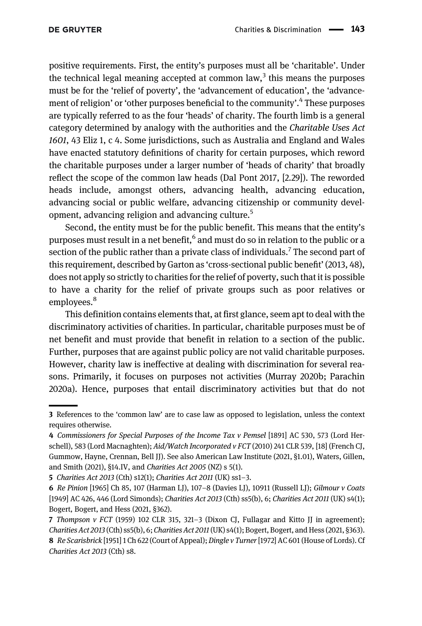positive requirements. First, the entity's purposes must all be 'charitable'. Under the technical legal meaning accepted at common law, $3$  this means the purposes must be for the 'relief of poverty', the 'advancement of education', the 'advancement of religion' or 'other purposes beneficial to the community'. <sup>4</sup> These purposes are typically referred to as the four 'heads' of charity. The fourth limb is a general category determined by analogy with the authorities and the Charitable Uses Act 1601, 43 Eliz 1, c 4. Some jurisdictions, such as Australia and England and Wales have enacted statutory definitions of charity for certain purposes, which reword the charitable purposes under a larger number of 'heads of charity' that broadly reflect the scope of the common law heads [\(Dal Pont 2017](#page-16-0), [2.29]). The reworded heads include, amongst others, advancing health, advancing education, advancing social or public welfare, advancing citizenship or community development, advancing religion and advancing culture.<sup>5</sup>

Second, the entity must be for the public benefit. This means that the entity's purposes must result in a net benefit,<sup>6</sup> and must do so in relation to the public or a section of the public rather than a private class of individuals.<sup>7</sup> The second part of this requirement, described by Garton as 'cross-sectional public benefit' ([2013](#page-16-1), 48), does not apply so strictly to charities for the relief of poverty, such that it is possible to have a charity for the relief of private groups such as poor relatives or employees.<sup>8</sup>

This definition contains elements that, at first glance, seem apt to deal with the discriminatory activities of charities. In particular, charitable purposes must be of net benefit and must provide that benefit in relation to a section of the public. Further, purposes that are against public policy are not valid charitable purposes. However, charity law is ineffective at dealing with discrimination for several reasons. Primarily, it focuses on purposes not activities [\(Murray 2020b;](#page-17-1) [Parachin](#page-17-2) [2020a\)](#page-17-2). Hence, purposes that entail discriminatory activities but that do not

<sup>3</sup> References to the 'common law' are to case law as opposed to legislation, unless the context requires otherwise.

<sup>4</sup> Commissioners for Special Purposes of the Income Tax v Pemsel [1891] AC 530, 573 (Lord Herschell), 583 (Lord Macnaghten); Aid/Watch Incorporated v FCT (2010) 241 CLR 539, [18] (French CJ, Gummow, Hayne, Crennan, Bell JJ). See also [American Law Institute \(2021](#page-15-0), §1.01), [Waters, Gillen,](#page-18-0) [and Smith \(2021\)](#page-18-0), §14.IV, and Charities Act 2005 (NZ) s 5(1).

<sup>5</sup> Charities Act 2013 (Cth) s12(1); Charities Act 2011 (UK) ss1–3.

<sup>6</sup> Re Pinion [1965] Ch 85, 107 (Harman LJ), 107–8 (Davies LJ), 10911 (Russell LJ); Gilmour v Coats [1949] AC 426, 446 (Lord Simonds); Charities Act 2013 (Cth) ss5(b), 6; Charities Act 2011 (UK) s4(1); [Bogert, Bogert, and Hess \(2021](#page-15-1), §362).

<sup>7</sup> Thompson v FCT (1959) 102 CLR 315, 321–3 (Dixon CJ, Fullagar and Kitto JJ in agreement); Charities Act 2013 (Cth) ss5(b), 6; Charities Act 2011(UK) s4(1); [Bogert, Bogert, and Hess \(2021](#page-15-1), §363). 8 Re Scarisbrick [1951] 1 Ch 622 (Court of Appeal); Dingle v Turner [1972] AC 601 (House of Lords). Cf Charities Act 2013 (Cth) s8.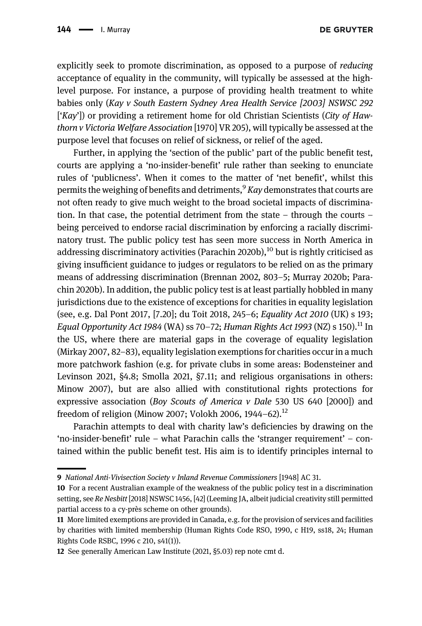**DE GRUYTER** 

explicitly seek to promote discrimination, as opposed to a purpose of reducing acceptance of equality in the community, will typically be assessed at the highlevel purpose. For instance, a purpose of providing health treatment to white babies only (Kay v South Eastern Sydney Area Health Service [2003] NSWSC 292  $\lceil Kay' \rceil$ ) or providing a retirement home for old Christian Scientists (City of Hawthorn v Victoria Welfare Association [1970] VR 205), will typically be assessed at the purpose level that focuses on relief of sickness, or relief of the aged.

Further, in applying the 'section of the public' part of the public benefit test, courts are applying a 'no-insider-benefit' rule rather than seeking to enunciate rules of 'publicness'. When it comes to the matter of 'net benefit', whilst this permits the weighing of benefits and detriments,  $\frac{9}{2}$  Kay demonstrates that courts are not often ready to give much weight to the broad societal impacts of discrimination. In that case, the potential detriment from the state – through the courts – being perceived to endorse racial discrimination by enforcing a racially discriminatory trust. The public policy test has seen more success in North America in addressing discriminatory activities [\(Parachin 2020b\)](#page-17-0), $^{10}$  but is rightly criticised as giving insufficient guidance to judges or regulators to be relied on as the primary means of addressing discrimination [\(Brennan 2002,](#page-16-2) 803–5; [Murray 2020b](#page-17-1); [Para](#page-17-0)[chin 2020b\)](#page-17-0). In addition, the public policy test is at least partially hobbled in many jurisdictions due to the existence of exceptions for charities in equality legislation (see, e.g. [Dal Pont 2017,](#page-16-0) [7.20]; [du Toit 2018,](#page-16-3) 245–6; Equality Act 2010 (UK) s 193; Equal Opportunity Act 1984 (WA) ss 70–72; Human Rights Act 1993 (NZ) s 150).<sup>11</sup> In the US, where there are material gaps in the coverage of equality legislation ([Mirkay 2007,](#page-16-4) 82–83), equality legislation exemptions for charities occur in a much more patchwork fashion (e.g. for private clubs in some areas: [Bodensteiner and](#page-15-2) [Levinson 2021,](#page-15-2) §4.8; [Smolla 2021,](#page-17-3) §7.11; and religious organisations in others: [Minow 2007](#page-16-5)), but are also allied with constitutional rights protections for expressive association (Boy Scouts of America v Dale 530 US 640 [2000]) and freedom of religion ([Minow 2007](#page-16-5); [Volokh 2006](#page-18-1), 1944-62).<sup>12</sup>

Parachin attempts to deal with charity law's deficiencies by drawing on the 'no-insider-benefit' rule – what Parachin calls the 'stranger requirement' – contained within the public benefit test. His aim is to identify principles internal to

<sup>9</sup> National Anti-Vivisection Society v Inland Revenue Commissioners [1948] AC 31.

<sup>10</sup> For a recent Australian example of the weakness of the public policy test in a discrimination setting, see Re Nesbitt [2018] NSWSC 1456, [42] (Leeming JA, albeit judicial creativity still permitted partial access to a cy-près scheme on other grounds).

<sup>11</sup> More limited exemptions are provided in Canada, e.g. for the provision of services and facilities by charities with limited membership (Human Rights Code RSO, 1990, c H19, ss18, 24; Human Rights Code RSBC, 1996 c 210, s41(1)).

<sup>12</sup> See generally [American Law Institute \(2021,](#page-15-0) §5.03) rep note cmt d.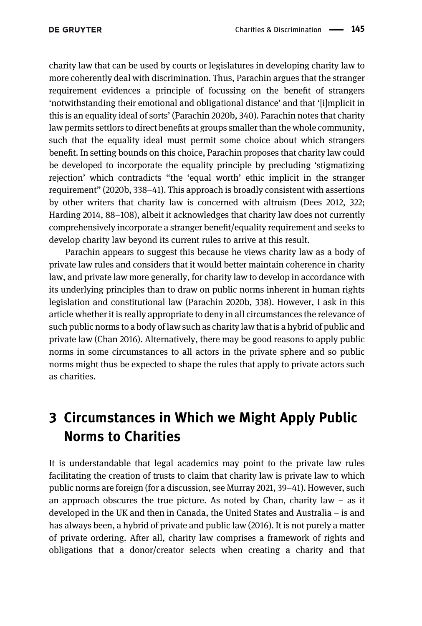charity law that can be used by courts or legislatures in developing charity law to more coherently deal with discrimination. Thus, Parachin argues that the stranger requirement evidences a principle of focussing on the benefit of strangers 'notwithstanding their emotional and obligational distance' and that '[i]mplicit in this is an equality ideal of sorts' [\(Parachin 2020b,](#page-17-0) 340). Parachin notes that charity law permits settlors to direct benefits at groups smaller than the whole community, such that the equality ideal must permit some choice about which strangers benefit. In setting bounds on this choice, Parachin proposes that charity law could be developed to incorporate the equality principle by precluding 'stigmatizing rejection' which contradicts "the 'equal worth' ethic implicit in the stranger requirement" [\(2020](#page-17-2)b, 338–41). This approach is broadly consistent with assertions by other writers that charity law is concerned with altruism ([Dees 2012](#page-16-6), 322; [Harding 2014,](#page-16-7) 88–108), albeit it acknowledges that charity law does not currently comprehensively incorporate a stranger benefit/equality requirement and seeks to develop charity law beyond its current rules to arrive at this result.

Parachin appears to suggest this because he views charity law as a body of private law rules and considers that it would better maintain coherence in charity law, and private law more generally, for charity law to develop in accordance with its underlying principles than to draw on public norms inherent in human rights legislation and constitutional law ([Parachin 2020b,](#page-17-0) 338). However, I ask in this article whether it is really appropriate to deny in all circumstances the relevance of such public norms to a body of law such as charity law that is a hybrid of public and private law [\(Chan 2016](#page-16-8)). Alternatively, there may be good reasons to apply public norms in some circumstances to all actors in the private sphere and so public norms might thus be expected to shape the rules that apply to private actors such as charities.

## <span id="page-4-0"></span>3 Circumstances in Which we Might Apply Public Norms to Charities

It is understandable that legal academics may point to the private law rules facilitating the creation of trusts to claim that charity law is private law to which public norms are foreign (for a discussion, see [Murray 2021,](#page-17-4) 39–41). However, such an approach obscures the true picture. As noted by Chan, charity law  $-$  as it developed in the UK and then in Canada, the United States and Australia – is and has always been, a hybrid of private and public law [\(2016\)](#page-16-8). It is not purely a matter of private ordering. After all, charity law comprises a framework of rights and obligations that a donor/creator selects when creating a charity and that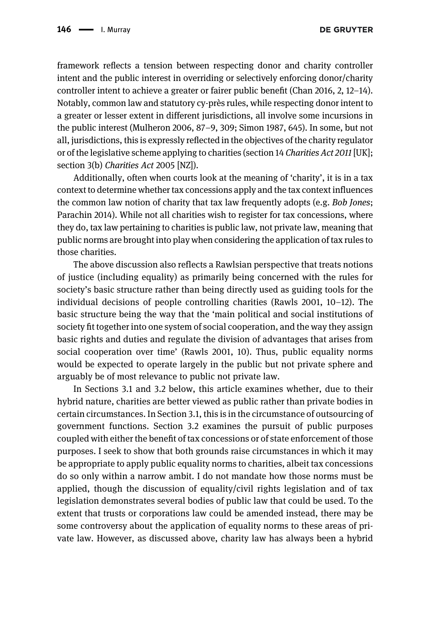framework reflects a tension between respecting donor and charity controller intent and the public interest in overriding or selectively enforcing donor/charity controller intent to achieve a greater or fairer public benefit ([Chan 2016](#page-16-8), 2, 12–14). Notably, common law and statutory cy-près rules, while respecting donor intent to a greater or lesser extent in different jurisdictions, all involve some incursions in the public interest [\(Mulheron 2006,](#page-17-5) 87–9, 309; [Simon 1987](#page-17-6), 645). In some, but not all, jurisdictions, this is expressly reflected in the objectives of the charity regulator or of the legislative scheme applying to charities (section 14 Charities Act 2011[UK]; section 3(b) Charities Act 2005 [NZ]).

Additionally, often when courts look at the meaning of 'charity', it is in a tax context to determine whether tax concessions apply and the tax context influences the common law notion of charity that tax law frequently adopts (e.g. Bob Jones; [Parachin 2014\)](#page-17-7). While not all charities wish to register for tax concessions, where they do, tax law pertaining to charities is public law, not private law, meaning that public norms are brought into play when considering the application of tax rules to those charities.

The above discussion also reflects a Rawlsian perspective that treats notions of justice (including equality) as primarily being concerned with the rules for society's basic structure rather than being directly used as guiding tools for the individual decisions of people controlling charities [\(Rawls 2001](#page-17-8), 10–12). The basic structure being the way that the 'main political and social institutions of society fit together into one system of social cooperation, and the way they assign basic rights and duties and regulate the division of advantages that arises from social cooperation over time' ([Rawls 2001](#page-17-8), 10). Thus, public equality norms would be expected to operate largely in the public but not private sphere and arguably be of most relevance to public not private law.

In [Sections 3.1](#page-6-0) and [3.2](#page-8-0) below, this article examines whether, due to their hybrid nature, charities are better viewed as public rather than private bodies in certain circumstances. In [Section 3.1](#page-6-0), this is in the circumstance of outsourcing of government functions. [Section 3.2](#page-8-0) examines the pursuit of public purposes coupled with either the benefit of tax concessions or of state enforcement of those purposes. I seek to show that both grounds raise circumstances in which it may be appropriate to apply public equality norms to charities, albeit tax concessions do so only within a narrow ambit. I do not mandate how those norms must be applied, though the discussion of equality/civil rights legislation and of tax legislation demonstrates several bodies of public law that could be used. To the extent that trusts or corporations law could be amended instead, there may be some controversy about the application of equality norms to these areas of private law. However, as discussed above, charity law has always been a hybrid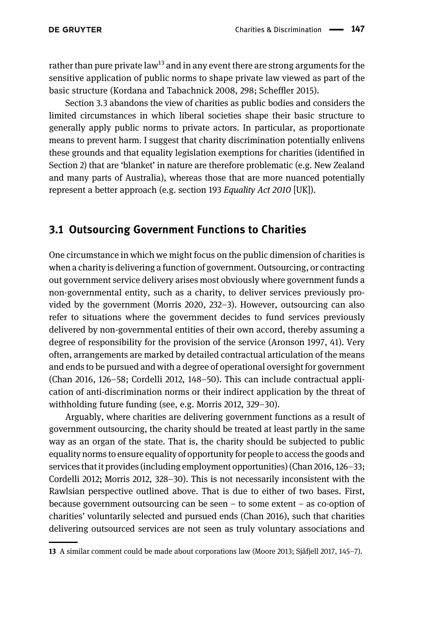rather than pure private law<sup>13</sup> and in any event there are strong arguments for the sensitive application of public norms to shape private law viewed as part of the basic structure ([Kordana and Tabachnick 2008,](#page-16-9) 298; Scheffl[er 2015\)](#page-17-9).

[Section 3.3](#page-11-0) abandons the view of charities as public bodies and considers the limited circumstances in which liberal societies shape their basic structure to generally apply public norms to private actors. In particular, as proportionate means to prevent harm. I suggest that charity discrimination potentially enlivens these grounds and that equality legislation exemptions for charities (identified in [Section 2](#page-1-0)) that are 'blanket' in nature are therefore problematic (e.g. New Zealand and many parts of Australia), whereas those that are more nuanced potentially represent a better approach (e.g. section 193 Equality Act 2010 [UK]).

#### <span id="page-6-0"></span>3.1 Outsourcing Government Functions to Charities

One circumstance in which we might focus on the public dimension of charities is when a charity is delivering a function of government. Outsourcing, or contracting out government service delivery arises most obviously where government funds a non-governmental entity, such as a charity, to deliver services previously provided by the government ([Morris 2020,](#page-17-10) 232–3). However, outsourcing can also refer to situations where the government decides to fund services previously delivered by non-governmental entities of their own accord, thereby assuming a degree of responsibility for the provision of the service [\(Aronson 1997](#page-15-3), 41). Very often, arrangements are marked by detailed contractual articulation of the means and ends to be pursued and with a degree of operational oversight for government [\(Chan 2016,](#page-16-8) 126–58; [Cordelli 2012,](#page-16-10) 148–50). This can include contractual application of anti-discrimination norms or their indirect application by the threat of withholding future funding (see, e.g. [Morris 2012](#page-16-11), 329–30).

Arguably, where charities are delivering government functions as a result of government outsourcing, the charity should be treated at least partly in the same way as an organ of the state. That is, the charity should be subjected to public equality norms to ensure equality of opportunity for people to access the goods and services that it provides (including employment opportunities) [\(Chan 2016](#page-16-8), 126–33; [Cordelli 2012](#page-16-10); [Morris 2012,](#page-16-11) 328–30). This is not necessarily inconsistent with the Rawlsian perspective outlined above. That is due to either of two bases. First, because government outsourcing can be seen – to some extent – as co-option of charities' voluntarily selected and pursued ends ([Chan 2016\)](#page-16-8), such that charities delivering outsourced services are not seen as truly voluntary associations and

<sup>13</sup> A similar comment could be made about corporations law [\(Moore 2013;](#page-16-12) [Sjåfjell 2017,](#page-17-11) 145–7).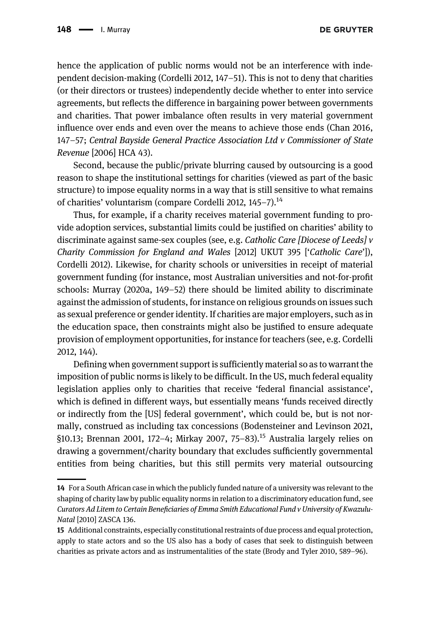hence the application of public norms would not be an interference with independent decision-making ([Cordelli 2012](#page-16-10), 147–51). This is not to deny that charities (or their directors or trustees) independently decide whether to enter into service agreements, but reflects the difference in bargaining power between governments and charities. That power imbalance often results in very material government influence over ends and even over the means to achieve those ends [\(Chan 2016,](#page-16-8) 147–57; Central Bayside General Practice Association Ltd v Commissioner of State Revenue [2006] HCA 43).

Second, because the public/private blurring caused by outsourcing is a good reason to shape the institutional settings for charities (viewed as part of the basic structure) to impose equality norms in a way that is still sensitive to what remains of charities' voluntarism (compare [Cordelli 2012,](#page-16-10) 145-7).<sup>14</sup>

Thus, for example, if a charity receives material government funding to provide adoption services, substantial limits could be justified on charities' ability to discriminate against same-sex couples (see, e.g. *Catholic Care [Diocese of Leeds]*  $\nu$ Charity Commission for England and Wales [2012] UKUT 395 ['Catholic Care']), [Cordelli 2012\)](#page-16-10). Likewise, for charity schools or universities in receipt of material government funding (for instance, most Australian universities and not-for-profit schools: [Murray \(2020a,](#page-17-12) 149–52) there should be limited ability to discriminate against the admission of students, for instance on religious grounds on issues such as sexual preference or gender identity. If charities are major employers, such as in the education space, then constraints might also be justified to ensure adequate provision of employment opportunities, for instance for teachers (see, e.g. [Cordelli](#page-16-10) [2012](#page-16-10), 144).

Defining when government support is sufficiently material so as to warrant the imposition of public norms is likely to be difficult. In the US, much federal equality legislation applies only to charities that receive 'federal financial assistance', which is defined in different ways, but essentially means 'funds received directly or indirectly from the [US] federal government', which could be, but is not normally, construed as including tax concessions ([Bodensteiner and Levinson 2021,](#page-15-2)  $\S 10.13$ ; [Brennan 2001](#page-15-4), 172–4; [Mirkay 2007](#page-16-4), 75–83).<sup>15</sup> Australia largely relies on drawing a government/charity boundary that excludes sufficiently governmental entities from being charities, but this still permits very material outsourcing

<sup>14</sup> For a South African case in which the publicly funded nature of a university was relevant to the shaping of charity law by public equality norms in relation to a discriminatory education fund, see Curators Ad Litem to Certain Beneficiaries of Emma Smith Educational Fund v University of Kwazulu-Natal [2010] ZASCA 136.

<sup>15</sup> Additional constraints, especially constitutional restraints of due process and equal protection, apply to state actors and so the US also has a body of cases that seek to distinguish between charities as private actors and as instrumentalities of the state [\(Brody and Tyler 2010,](#page-16-13) 589–96).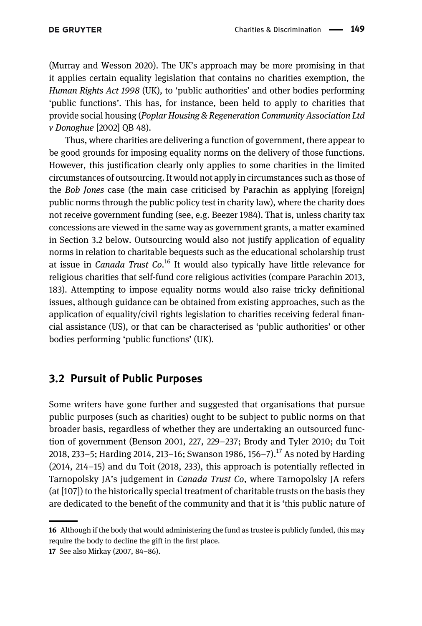[\(Murray and Wesson 2020](#page-17-13)). The UK's approach may be more promising in that it applies certain equality legislation that contains no charities exemption, the Human Rights Act 1998 (UK), to 'public authorities' and other bodies performing 'public functions'. This has, for instance, been held to apply to charities that provide social housing (Poplar Housing & Regeneration Community Association Ltd v Donoghue [2002] QB 48).

Thus, where charities are delivering a function of government, there appear to be good grounds for imposing equality norms on the delivery of those functions. However, this justification clearly only applies to some charities in the limited circumstances of outsourcing. It would not apply in circumstances such as those of the Bob Jones case (the main case criticised by Parachin as applying [foreign] public norms through the public policy test in charity law), where the charity does not receive government funding (see, e.g. [Beezer 1984](#page-15-5)). That is, unless charity tax concessions are viewed in the same way as government grants, a matter examined in [Section 3.2](#page-8-0) below. Outsourcing would also not justify application of equality norms in relation to charitable bequests such as the educational scholarship trust at issue in *Canada Trust Co*.<sup>16</sup> It would also typically have little relevance for religious charities that self-fund core religious activities (compare [Parachin 2013](#page-17-14), 183). Attempting to impose equality norms would also raise tricky definitional issues, although guidance can be obtained from existing approaches, such as the application of equality/civil rights legislation to charities receiving federal financial assistance (US), or that can be characterised as 'public authorities' or other bodies performing 'public functions' (UK).

#### <span id="page-8-0"></span>3.2 Pursuit of Public Purposes

Some writers have gone further and suggested that organisations that pursue public purposes (such as charities) ought to be subject to public norms on that broader basis, regardless of whether they are undertaking an outsourced function of government ([Benson 2001,](#page-15-6) 227, 229–237; [Brody and Tyler 2010;](#page-16-13) [du Toit](#page-16-3) [2018,](#page-16-3) 233–5; [Harding 2014,](#page-16-7) 213–16; [Swanson 1986](#page-18-2), 156–7).<sup>17</sup> As noted by [Harding](#page-16-7) [\(2014,](#page-16-7) 214–15) and [du Toit \(2018](#page-16-3), 233), this approach is potentially reflected in Tarnopolsky JA's judgement in Canada Trust Co, where Tarnopolsky JA refers (at [107]) to the historically special treatment of charitable trusts on the basis they are dedicated to the benefit of the community and that it is 'this public nature of

<sup>16</sup> Although if the body that would administering the fund as trustee is publicly funded, this may require the body to decline the gift in the first place.

<sup>17</sup> See also [Mirkay \(2007](#page-16-4), 84–86).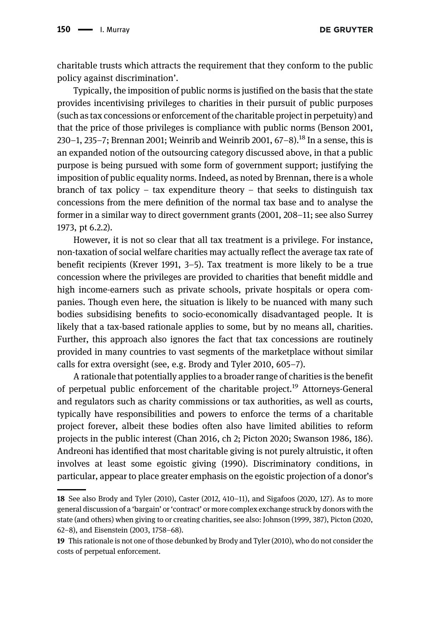**DE GRUYTER** 

charitable trusts which attracts the requirement that they conform to the public policy against discrimination'.

Typically, the imposition of public norms is justified on the basis that the state provides incentivising privileges to charities in their pursuit of public purposes (such as tax concessions or enforcement of the charitable project in perpetuity) and that the price of those privileges is compliance with public norms ([Benson 2001,](#page-15-6) 230–1, 235–7; [Brennan 2001](#page-15-4); [Weinrib and Weinrib 2001](#page-18-3),  $67-8$ ).<sup>18</sup> In a sense, this is an expanded notion of the outsourcing category discussed above, in that a public purpose is being pursued with some form of government support; justifying the imposition of public equality norms. Indeed, as noted by Brennan, there is a whole branch of tax policy – tax expenditure theory – that seeks to distinguish tax concessions from the mere definition of the normal tax base and to analyse the former in a similar way to direct government grants ([2001](#page-15-4), 208–11; see also [Surrey](#page-17-15) [1973](#page-17-15), pt 6.2.2).

However, it is not so clear that all tax treatment is a privilege. For instance, non-taxation of social welfare charities may actually reflect the average tax rate of benefit recipients [\(Krever 1991,](#page-16-14) 3–5). Tax treatment is more likely to be a true concession where the privileges are provided to charities that benefit middle and high income-earners such as private schools, private hospitals or opera companies. Though even here, the situation is likely to be nuanced with many such bodies subsidising benefits to socio-economically disadvantaged people. It is likely that a tax-based rationale applies to some, but by no means all, charities. Further, this approach also ignores the fact that tax concessions are routinely provided in many countries to vast segments of the marketplace without similar calls for extra oversight (see, e.g. [Brody and Tyler 2010,](#page-16-13) 605–7).

A rationale that potentially applies to a broader range of charities is the benefit of perpetual public enforcement of the charitable project.<sup>19</sup> Attorneys-General and regulators such as charity commissions or tax authorities, as well as courts, typically have responsibilities and powers to enforce the terms of a charitable project forever, albeit these bodies often also have limited abilities to reform projects in the public interest [\(Chan 2016](#page-16-8), ch 2; [Picton 2020](#page-17-16); [Swanson 1986,](#page-18-2) 186). Andreoni has identified that most charitable giving is not purely altruistic, it often involves at least some egoistic giving ([1990\)](#page-15-7). Discriminatory conditions, in particular, appear to place greater emphasis on the egoistic projection of a donor's

<sup>18</sup> See also [Brody and Tyler \(2010\)](#page-16-13), [Caster \(2012](#page-16-15), 410–11), and [Sigafoos \(2020](#page-17-17), 127). As to more general discussion of a 'bargain' or'contract' or more complex exchange struck by donors with the state (and others) when giving to or creating charities, see also: [Johnson \(1999,](#page-16-16) 387), [Picton \(2020](#page-17-16), 62–8), and [Eisenstein \(2003](#page-16-17), 1758–68).

<sup>19</sup> This rationale is not one of those debunked by [Brody and Tyler \(2010\),](#page-16-13) who do not consider the costs of perpetual enforcement.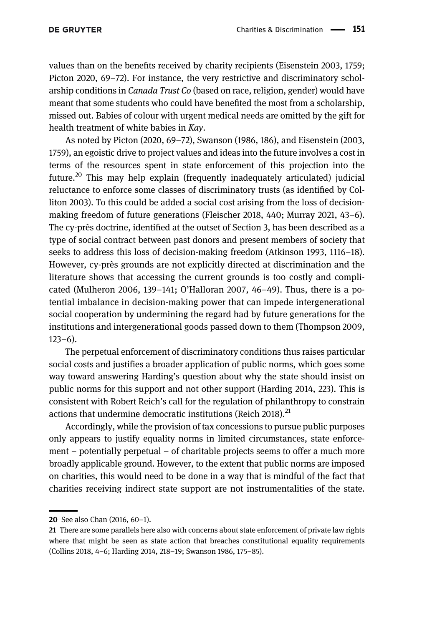values than on the benefits received by charity recipients [\(Eisenstein 2003,](#page-16-17) 1759; [Picton 2020](#page-17-16), 69–72). For instance, the very restrictive and discriminatory scholarship conditions in Canada Trust Co (based on race, religion, gender) would have meant that some students who could have benefited the most from a scholarship, missed out. Babies of colour with urgent medical needs are omitted by the gift for health treatment of white babies in Kay.

As noted by [Picton \(2020](#page-17-16), 69–72), [Swanson \(1986](#page-18-2), 186), and [Eisenstein \(2003](#page-16-17), 1759), an egoistic drive to project values and ideas into the future involves a cost in terms of the resources spent in state enforcement of this projection into the future.<sup>20</sup> This may help explain (frequently inadequately articulated) judicial reluctance to enforce some classes of discriminatory trusts (as identified by [Col](#page-16-18)[liton 2003\)](#page-16-18). To this could be added a social cost arising from the loss of decisionmaking freedom of future generations [\(Fleischer 2018,](#page-16-19) 440; [Murray 2021](#page-17-4), 43–6). The cy-près doctrine, identified at the outset of [Section 3,](#page-4-0) has been described as a type of social contract between past donors and present members of society that seeks to address this loss of decision-making freedom ([Atkinson 1993,](#page-15-8) 1116–18). However, cy-près grounds are not explicitly directed at discrimination and the literature shows that accessing the current grounds is too costly and complicated ([Mulheron 2006](#page-17-5), 139–141; O'[Halloran 2007](#page-17-18), 46–49). Thus, there is a potential imbalance in decision-making power that can impede intergenerational social cooperation by undermining the regard had by future generations for the institutions and intergenerational goods passed down to them ([Thompson 2009,](#page-18-4) 123–6).

The perpetual enforcement of discriminatory conditions thus raises particular social costs and justifies a broader application of public norms, which goes some way toward answering Harding's question about why the state should insist on public norms for this support and not other support [\(Harding 2014,](#page-16-7) 223). This is consistent with Robert Reich's call for the regulation of philanthropy to constrain actions that undermine democratic institutions ([Reich 2018](#page-17-19)).<sup>21</sup>

Accordingly, while the provision of tax concessions to pursue public purposes only appears to justify equality norms in limited circumstances, state enforcement – potentially perpetual – of charitable projects seems to offer a much more broadly applicable ground. However, to the extent that public norms are imposed on charities, this would need to be done in a way that is mindful of the fact that charities receiving indirect state support are not instrumentalities of the state.

<sup>20</sup> See also [Chan \(2016,](#page-16-8) 60–1).

<sup>21</sup> There are some parallels here also with concerns about state enforcement of private law rights where that might be seen as state action that breaches constitutional equality requirements ([Collins 2018,](#page-16-20) 4–6; [Harding 2014](#page-16-7), 218–19; [Swanson 1986](#page-18-2), 175–85).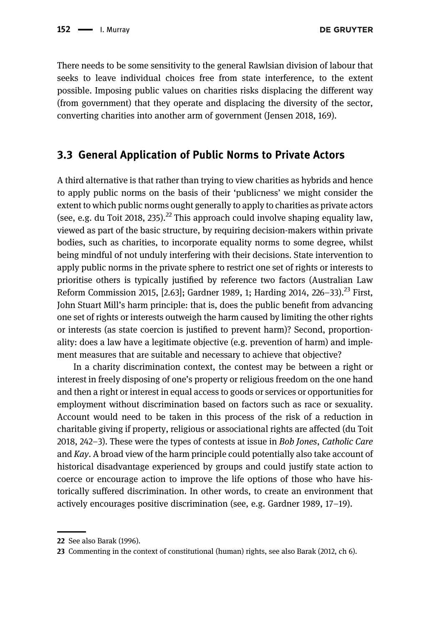**DE GRUYTER** 

There needs to be some sensitivity to the general Rawlsian division of labour that seeks to leave individual choices free from state interference, to the extent possible. Imposing public values on charities risks displacing the different way (from government) that they operate and displacing the diversity of the sector, converting charities into another arm of government [\(Jensen 2018](#page-16-21), 169).

#### <span id="page-11-0"></span>3.3 General Application of Public Norms to Private Actors

A third alternative is that rather than trying to view charities as hybrids and hence to apply public norms on the basis of their 'publicness' we might consider the extent to which public norms ought generally to apply to charities as private actors (see, e.g. [du Toit 2018](#page-16-3), 235).<sup>22</sup> This approach could involve shaping equality law, viewed as part of the basic structure, by requiring decision-makers within private bodies, such as charities, to incorporate equality norms to some degree, whilst being mindful of not unduly interfering with their decisions. State intervention to apply public norms in the private sphere to restrict one set of rights or interests to prioritise others is typically justified by reference two factors ([Australian Law](#page-15-9) [Reform Commission 2015](#page-15-9), [2.63]; [Gardner 1989,](#page-16-22) 1; [Harding 2014](#page-16-7), 226–33).<sup>23</sup> First, John Stuart Mill's harm principle: that is, does the public benefit from advancing one set of rights or interests outweigh the harm caused by limiting the other rights or interests (as state coercion is justified to prevent harm)? Second, proportionality: does a law have a legitimate objective (e.g. prevention of harm) and implement measures that are suitable and necessary to achieve that objective?

In a charity discrimination context, the contest may be between a right or interest in freely disposing of one's property or religious freedom on the one hand and then a right or interest in equal access to goods or services or opportunities for employment without discrimination based on factors such as race or sexuality. Account would need to be taken in this process of the risk of a reduction in charitable giving if property, religious or associational rights are affected ([du Toit](#page-16-3) [2018,](#page-16-3) 242–3). These were the types of contests at issue in Bob Jones, Catholic Care and Kay. A broad view of the harm principle could potentially also take account of historical disadvantage experienced by groups and could justify state action to coerce or encourage action to improve the life options of those who have historically suffered discrimination. In other words, to create an environment that actively encourages positive discrimination (see, e.g. [Gardner 1989](#page-16-22), 17–19).

<sup>22</sup> See also [Barak \(1996\)](#page-15-10).

<sup>23</sup> Commenting in the context of constitutional (human) rights, see also [Barak \(2012](#page-15-11), ch 6).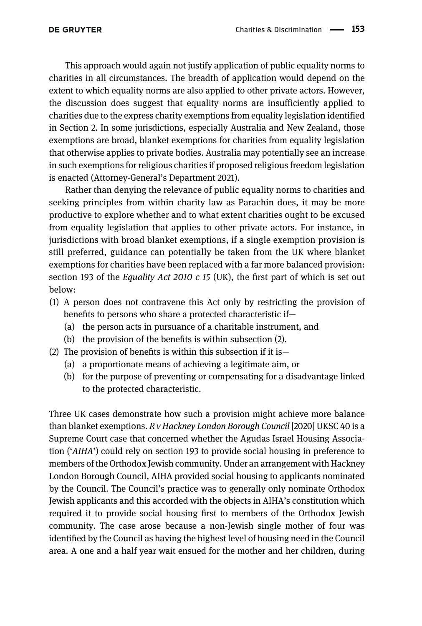This approach would again not justify application of public equality norms to charities in all circumstances. The breadth of application would depend on the extent to which equality norms are also applied to other private actors. However, the discussion does suggest that equality norms are insufficiently applied to charities due to the express charity exemptions from equality legislation identified in [Section 2](#page-1-0). In some jurisdictions, especially Australia and New Zealand, those exemptions are broad, blanket exemptions for charities from equality legislation that otherwise applies to private bodies. Australia may potentially see an increase in such exemptions for religious charities if proposed religious freedom legislation is enacted (Attorney-General'[s Department 2021](#page-15-12)).

Rather than denying the relevance of public equality norms to charities and seeking principles from within charity law as Parachin does, it may be more productive to explore whether and to what extent charities ought to be excused from equality legislation that applies to other private actors. For instance, in jurisdictions with broad blanket exemptions, if a single exemption provision is still preferred, guidance can potentially be taken from the UK where blanket exemptions for charities have been replaced with a far more balanced provision: section 193 of the *Equality Act 2010 c 15* (UK), the first part of which is set out below:

- (1) A person does not contravene this Act only by restricting the provision of benefits to persons who share a protected characteristic if—
	- (a) the person acts in pursuance of a charitable instrument, and
	- (b) the provision of the benefits is within subsection (2).
- (2) The provision of benefits is within this subsection if it is—
	- (a) a proportionate means of achieving a legitimate aim, or
	- (b) for the purpose of preventing or compensating for a disadvantage linked to the protected characteristic.

Three UK cases demonstrate how such a provision might achieve more balance than blanket exemptions.  $R v$  Hackney London Borough Council [2020] UKSC 40 is a Supreme Court case that concerned whether the Agudas Israel Housing Association ('AIHA') could rely on section 193 to provide social housing in preference to members of the Orthodox Jewish community. Under an arrangement with Hackney London Borough Council, AIHA provided social housing to applicants nominated by the Council. The Council's practice was to generally only nominate Orthodox Jewish applicants and this accorded with the objects in AIHA's constitution which required it to provide social housing first to members of the Orthodox Jewish community. The case arose because a non-Jewish single mother of four was identified by the Council as having the highest level of housing need in the Council area. A one and a half year wait ensued for the mother and her children, during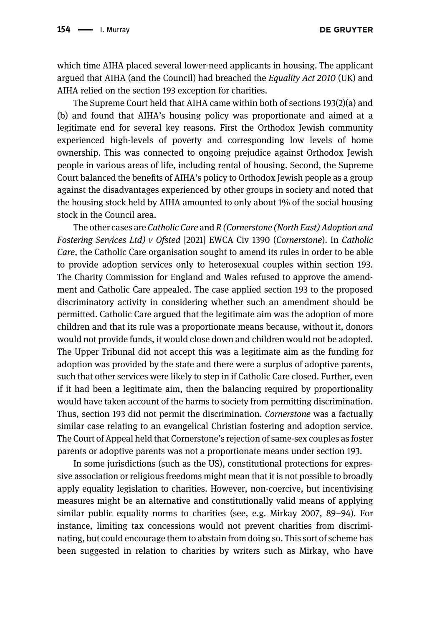which time AIHA placed several lower-need applicants in housing. The applicant argued that AIHA (and the Council) had breached the Equality Act 2010 (UK) and AIHA relied on the section 193 exception for charities.

The Supreme Court held that AIHA came within both of sections 193(2)(a) and (b) and found that AIHA's housing policy was proportionate and aimed at a legitimate end for several key reasons. First the Orthodox Jewish community experienced high-levels of poverty and corresponding low levels of home ownership. This was connected to ongoing prejudice against Orthodox Jewish people in various areas of life, including rental of housing. Second, the Supreme Court balanced the benefits of AIHA's policy to Orthodox Jewish people as a group against the disadvantages experienced by other groups in society and noted that the housing stock held by AIHA amounted to only about 1% of the social housing stock in the Council area.

The other cases are Catholic Care and R (Cornerstone (North East) Adoption and Fostering Services Ltd) v Ofsted [2021] EWCA Civ 1390 (Cornerstone). In Catholic Care, the Catholic Care organisation sought to amend its rules in order to be able to provide adoption services only to heterosexual couples within section 193. The Charity Commission for England and Wales refused to approve the amendment and Catholic Care appealed. The case applied section 193 to the proposed discriminatory activity in considering whether such an amendment should be permitted. Catholic Care argued that the legitimate aim was the adoption of more children and that its rule was a proportionate means because, without it, donors would not provide funds, it would close down and children would not be adopted. The Upper Tribunal did not accept this was a legitimate aim as the funding for adoption was provided by the state and there were a surplus of adoptive parents, such that other services were likely to step in if Catholic Care closed. Further, even if it had been a legitimate aim, then the balancing required by proportionality would have taken account of the harms to society from permitting discrimination. Thus, section 193 did not permit the discrimination. Cornerstone was a factually similar case relating to an evangelical Christian fostering and adoption service. The Court of Appeal held that Cornerstone's rejection of same-sex couples as foster parents or adoptive parents was not a proportionate means under section 193.

In some jurisdictions (such as the US), constitutional protections for expressive association or religious freedoms might mean that it is not possible to broadly apply equality legislation to charities. However, non-coercive, but incentivising measures might be an alternative and constitutionally valid means of applying similar public equality norms to charities (see, e.g. [Mirkay 2007,](#page-16-4) 89–94). For instance, limiting tax concessions would not prevent charities from discriminating, but could encourage them to abstain from doing so. This sort of scheme has been suggested in relation to charities by writers such as Mirkay, who have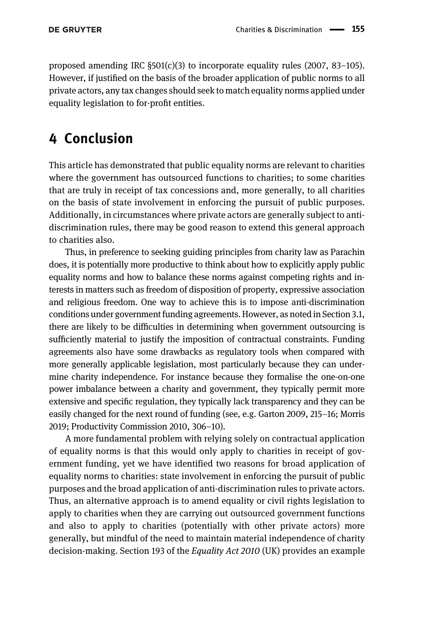proposed amending IRC §501(c)(3) to incorporate equality rules [\(2007](#page-16-4), 83–105). However, if justified on the basis of the broader application of public norms to all private actors, any tax changes should seek to match equality norms applied under equality legislation to for-profit entities.

### <span id="page-14-0"></span>4 Conclusion

This article has demonstrated that public equality norms are relevant to charities where the government has outsourced functions to charities; to some charities that are truly in receipt of tax concessions and, more generally, to all charities on the basis of state involvement in enforcing the pursuit of public purposes. Additionally, in circumstances where private actors are generally subject to antidiscrimination rules, there may be good reason to extend this general approach to charities also.

Thus, in preference to seeking guiding principles from charity law as Parachin does, it is potentially more productive to think about how to explicitly apply public equality norms and how to balance these norms against competing rights and interests in matters such as freedom of disposition of property, expressive association and religious freedom. One way to achieve this is to impose anti-discrimination conditions under government funding agreements. However, as noted in [Section 3.1](#page-6-0), there are likely to be difficulties in determining when government outsourcing is sufficiently material to justify the imposition of contractual constraints. Funding agreements also have some drawbacks as regulatory tools when compared with more generally applicable legislation, most particularly because they can undermine charity independence. For instance because they formalise the one-on-one power imbalance between a charity and government, they typically permit more extensive and specific regulation, they typically lack transparency and they can be easily changed for the next round of funding (see, e.g. [Garton 2009](#page-16-23), 215–16; [Morris](#page-17-20) [2019](#page-17-20); [Productivity Commission 2010,](#page-17-21) 306–10).

A more fundamental problem with relying solely on contractual application of equality norms is that this would only apply to charities in receipt of government funding, yet we have identified two reasons for broad application of equality norms to charities: state involvement in enforcing the pursuit of public purposes and the broad application of anti-discrimination rules to private actors. Thus, an alternative approach is to amend equality or civil rights legislation to apply to charities when they are carrying out outsourced government functions and also to apply to charities (potentially with other private actors) more generally, but mindful of the need to maintain material independence of charity decision-making. Section 193 of the Equality Act 2010 (UK) provides an example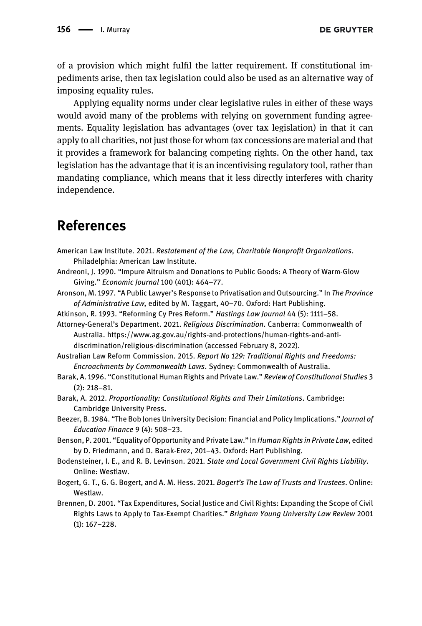of a provision which might fulfil the latter requirement. If constitutional impediments arise, then tax legislation could also be used as an alternative way of imposing equality rules.

Applying equality norms under clear legislative rules in either of these ways would avoid many of the problems with relying on government funding agreements. Equality legislation has advantages (over tax legislation) in that it can apply to all charities, not just those for whom tax concessions are material and that it provides a framework for balancing competing rights. On the other hand, tax legislation has the advantage that it is an incentivising regulatory tool, rather than mandating compliance, which means that it less directly interferes with charity independence.

### References

- <span id="page-15-0"></span>American Law Institute. 2021. Restatement of the Law, Charitable Nonprofit Organizations. Philadelphia: American Law Institute.
- <span id="page-15-7"></span>Andreoni, J. 1990. "Impure Altruism and Donations to Public Goods: A Theory of Warm-Glow Giving." Economic Journal 100 (401): 464–77.
- <span id="page-15-3"></span>Aronson, M. 1997. "A Public Lawyer's Response to Privatisation and Outsourcing." In The Province of Administrative Law, edited by M. Taggart, 40–70. Oxford: Hart Publishing.
- <span id="page-15-8"></span>Atkinson, R. 1993. "Reforming Cy Pres Reform." Hastings Law Journal 44 (5): 1111–58.
- <span id="page-15-12"></span>Attorney-General's Department. 2021. Religious Discrimination. Canberra: Commonwealth of Australia. [https://www.ag.gov.au/rights-and-protections/human-rights-and-anti](https://www.ag.gov.au/rights-and-protections/human-rights-and-anti-discrimination/religious-discrimination)[discrimination/religious-discrimination](https://www.ag.gov.au/rights-and-protections/human-rights-and-anti-discrimination/religious-discrimination) (accessed February 8, 2022).
- <span id="page-15-9"></span>Australian Law Reform Commission. 2015. Report No 129: Traditional Rights and Freedoms: Encroachments by Commonwealth Laws. Sydney: Commonwealth of Australia.
- <span id="page-15-10"></span>Barak, A. 1996. "Constitutional Human Rights and Private Law." Review of Constitutional Studies 3 (2): 218–81.
- <span id="page-15-11"></span>Barak, A. 2012. Proportionality: Constitutional Rights and Their Limitations. Cambridge: Cambridge University Press.
- <span id="page-15-5"></span>Beezer, B. 1984. "The Bob Jones University Decision: Financial and Policy Implications." Journal of Education Finance 9 (4): 508–23.
- <span id="page-15-6"></span>Benson, P. 2001. "Equality of Opportunity and Private Law." In Human Rights in Private Law, edited by D. Friedmann, and D. Barak-Erez, 201–43. Oxford: Hart Publishing.
- <span id="page-15-2"></span>Bodensteiner, I. E., and R. B. Levinson. 2021. State and Local Government Civil Rights Liability. Online: Westlaw.
- <span id="page-15-1"></span>Bogert, G. T., G. G. Bogert, and A. M. Hess. 2021. Bogert's The Law of Trusts and Trustees. Online: Westlaw.
- <span id="page-15-4"></span>Brennen, D. 2001. "Tax Expenditures, Social Justice and Civil Rights: Expanding the Scope of Civil Rights Laws to Apply to Tax-Exempt Charities." Brigham Young University Law Review 2001 (1): 167–228.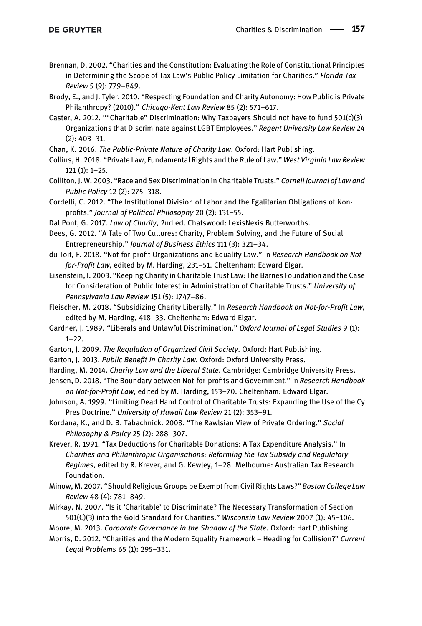- <span id="page-16-2"></span>Brennan, D. 2002. "Charities and the Constitution: Evaluating the Role of Constitutional Principles in Determining the Scope of Tax Law's Public Policy Limitation for Charities." Florida Tax Review 5 (9): 779–849.
- <span id="page-16-13"></span>Brody, E., and J. Tyler. 2010. "Respecting Foundation and Charity Autonomy: How Public is Private Philanthropy? (2010)." Chicago-Kent Law Review 85 (2): 571–617.
- <span id="page-16-15"></span>Caster, A. 2012. ""Charitable" Discrimination: Why Taxpayers Should not have to fund 501(c)(3) Organizations that Discriminate against LGBT Employees." Regent University Law Review 24 (2): 403–31.

<span id="page-16-8"></span>Chan, K. 2016. The Public-Private Nature of Charity Law. Oxford: Hart Publishing.

- <span id="page-16-20"></span>Collins, H. 2018. "Private Law, Fundamental Rights and the Rule of Law." West Virginia Law Review 121 (1): 1–25.
- <span id="page-16-18"></span>Colliton, J. W. 2003. "Race and Sex Discrimination in Charitable Trusts." Cornell Journal of Law and Public Policy 12 (2): 275–318.
- <span id="page-16-10"></span>Cordelli, C. 2012. "The Institutional Division of Labor and the Egalitarian Obligations of Nonprofits." Journal of Political Philosophy 20 (2): 131–55.
- <span id="page-16-0"></span>Dal Pont, G. 2017. Law of Charity, 2nd ed. Chatswood: LexisNexis Butterworths.
- <span id="page-16-6"></span>Dees, G. 2012. "A Tale of Two Cultures: Charity, Problem Solving, and the Future of Social Entrepreneurship." Journal of Business Ethics 111 (3): 321–34.
- <span id="page-16-3"></span>du Toit, F. 2018. "Not-for-profit Organizations and Equality Law." In Research Handbook on Notfor-Profit Law, edited by M. Harding, 231–51. Cheltenham: Edward Elgar.
- <span id="page-16-17"></span>Eisenstein, I. 2003. "Keeping Charity in Charitable Trust Law: The Barnes Foundation and the Case for Consideration of Public Interest in Administration of Charitable Trusts." University of Pennsylvania Law Review 151 (5): 1747–86.

<span id="page-16-19"></span>Fleischer, M. 2018. "Subsidizing Charity Liberally." In Research Handbook on Not-for-Profit Law, edited by M. Harding, 418–33. Cheltenham: Edward Elgar.

- <span id="page-16-22"></span>Gardner, J. 1989. "Liberals and Unlawful Discrimination." Oxford Journal of Legal Studies 9 (1):  $1 - 22$ .
- <span id="page-16-23"></span>Garton, J. 2009. The Regulation of Organized Civil Society. Oxford: Hart Publishing.
- <span id="page-16-1"></span>Garton, J. 2013. Public Benefit in Charity Law. Oxford: Oxford University Press.
- <span id="page-16-7"></span>Harding, M. 2014. Charity Law and the Liberal State. Cambridge: Cambridge University Press.
- <span id="page-16-21"></span>Jensen, D. 2018. "The Boundary between Not-for-profits and Government." In Research Handbook on Not-for-Profit Law, edited by M. Harding, 153–70. Cheltenham: Edward Elgar.
- <span id="page-16-16"></span>Johnson, A. 1999. "Limiting Dead Hand Control of Charitable Trusts: Expanding the Use of the Cy Pres Doctrine." University of Hawaii Law Review 21 (2): 353–91.
- <span id="page-16-9"></span>Kordana, K., and D. B. Tabachnick. 2008. "The Rawlsian View of Private Ordering." Social Philosophy & Policy 25 (2): 288–307.
- <span id="page-16-14"></span>Krever, R. 1991. "Tax Deductions for Charitable Donations: A Tax Expenditure Analysis." In Charities and Philanthropic Organisations: Reforming the Tax Subsidy and Regulatory Regimes, edited by R. Krever, and G. Kewley, 1–28. Melbourne: Australian Tax Research Foundation.
- <span id="page-16-5"></span>Minow, M. 2007. "Should Religious Groups be Exempt from Civil Rights Laws?" Boston College Law Review 48 (4): 781–849.
- <span id="page-16-4"></span>Mirkay, N. 2007. "Is it 'Charitable' to Discriminate? The Necessary Transformation of Section 501(C)(3) into the Gold Standard for Charities." Wisconsin Law Review 2007 (1): 45–106.
- <span id="page-16-12"></span>Moore, M. 2013. Corporate Governance in the Shadow of the State. Oxford: Hart Publishing.
- <span id="page-16-11"></span>Morris, D. 2012. "Charities and the Modern Equality Framework - Heading for Collision?" Current Legal Problems 65 (1): 295–331.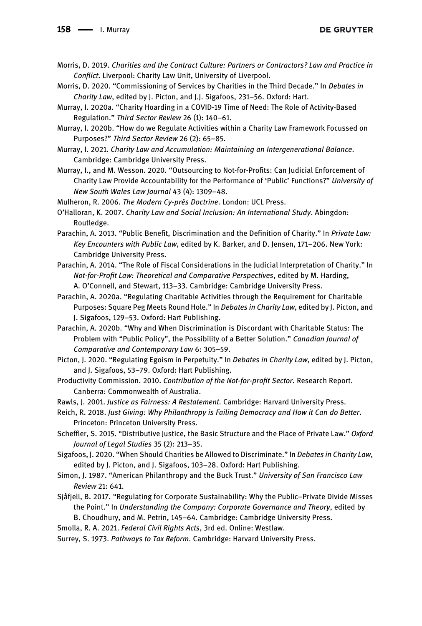- <span id="page-17-20"></span>Morris, D. 2019. Charities and the Contract Culture: Partners or Contractors? Law and Practice in Conflict. Liverpool: Charity Law Unit, University of Liverpool.
- <span id="page-17-10"></span>Morris, D. 2020. "Commissioning of Services by Charities in the Third Decade." In Debates in Charity Law, edited by J. Picton, and J.J. Sigafoos, 231–56. Oxford: Hart.
- <span id="page-17-12"></span>Murray, I. 2020a. "Charity Hoarding in a COVID-19 Time of Need: The Role of Activity-Based Regulation." Third Sector Review 26 (1): 140–61.
- <span id="page-17-1"></span>Murray, I. 2020b. "How do we Regulate Activities within a Charity Law Framework Focussed on Purposes?" Third Sector Review 26 (2): 65–85.
- <span id="page-17-4"></span>Murray, I. 2021. Charity Law and Accumulation: Maintaining an Intergenerational Balance. Cambridge: Cambridge University Press.
- <span id="page-17-13"></span>Murray, I., and M. Wesson. 2020. "Outsourcing to Not-for-Profits: Can Judicial Enforcement of Charity Law Provide Accountability for the Performance of 'Public' Functions?" University of New South Wales Law Journal 43 (4): 1309–48.

<span id="page-17-5"></span>Mulheron, R. 2006. The Modern Cy-près Doctrine. London: UCL Press.

<span id="page-17-18"></span>O'Halloran, K. 2007. Charity Law and Social Inclusion: An International Study. Abingdon: Routledge.

- <span id="page-17-14"></span>Parachin, A. 2013. "Public Benefit, Discrimination and the Definition of Charity." In Private Law: Key Encounters with Public Law, edited by K. Barker, and D. Jensen, 171–206. New York: Cambridge University Press.
- <span id="page-17-7"></span>Parachin, A. 2014. "The Role of Fiscal Considerations in the Judicial Interpretation of Charity." In Not-for-Profit Law: Theoretical and Comparative Perspectives, edited by M. Harding, A. O'Connell, and Stewart, 113–33. Cambridge: Cambridge University Press.
- <span id="page-17-2"></span>Parachin, A. 2020a. "Regulating Charitable Activities through the Requirement for Charitable Purposes: Square Peg Meets Round Hole." In *Debates in Charity Law*, edited by J. Picton, and J. Sigafoos, 129–53. Oxford: Hart Publishing.
- <span id="page-17-0"></span>Parachin, A. 2020b. "Why and When Discrimination is Discordant with Charitable Status: The Problem with "Public Policy", the Possibility of a Better Solution." Canadian Journal of Comparative and Contemporary Law 6: 305–59.
- <span id="page-17-16"></span>Picton, J. 2020. "Regulating Egoism in Perpetuity." In Debates in Charity Law, edited by J. Picton, and J. Sigafoos, 53–79. Oxford: Hart Publishing.
- <span id="page-17-21"></span>Productivity Commission. 2010. Contribution of the Not-for-profit Sector. Research Report. Canberra: Commonwealth of Australia.
- <span id="page-17-8"></span>Rawls, J. 2001. Justice as Fairness: A Restatement. Cambridge: Harvard University Press.
- <span id="page-17-19"></span>Reich, R. 2018. Just Giving: Why Philanthropy is Failing Democracy and How it Can do Better. Princeton: Princeton University Press.
- <span id="page-17-9"></span>Scheffler, S. 2015. "Distributive Justice, the Basic Structure and the Place of Private Law." Oxford Journal of Legal Studies 35 (2): 213–35.
- <span id="page-17-17"></span>Sigafoos, J. 2020. "When Should Charities be Allowed to Discriminate." In Debates in Charity Law, edited by J. Picton, and J. Sigafoos, 103–28. Oxford: Hart Publishing.
- <span id="page-17-6"></span>Simon, J. 1987. "American Philanthropy and the Buck Trust." University of San Francisco Law Review 21: 641.
- <span id="page-17-11"></span>Sjåfjell, B. 2017. "Regulating for Corporate Sustainability: Why the Public–Private Divide Misses the Point." In Understanding the Company: Corporate Governance and Theory, edited by B. Choudhury, and M. Petrin, 145–64. Cambridge: Cambridge University Press.
- <span id="page-17-3"></span>Smolla, R. A. 2021. Federal Civil Rights Acts, 3rd ed. Online: Westlaw.
- <span id="page-17-15"></span>Surrey, S. 1973. Pathways to Tax Reform. Cambridge: Harvard University Press.